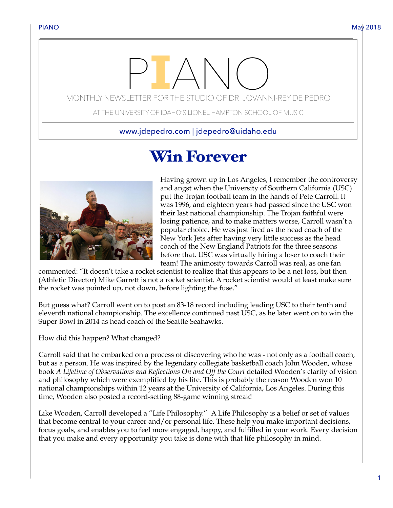# MONTHLY NEWSLETTER FOR THE STUDIO OF DR. JOVANNI-REY DE PEDRO

AT THE UNIVERSITY OF IDAHO'S LIONEL HAMPTON SCHOOL OF MUSIC

www.jdepedro.com | jdepedro@uidaho.edu

# Win Forever



Having grown up in Los Angeles, I remember the controversy and angst when the University of Southern California (USC) put the Trojan football team in the hands of Pete Carroll. It was 1996, and eighteen years had passed since the USC won their last national championship. The Trojan faithful were losing patience, and to make matters worse, Carroll wasn't a popular choice. He was just fired as the head coach of the New York Jets after having very little success as the head coach of the New England Patriots for the three seasons before that. USC was virtually hiring a loser to coach their team! The animosity towards Carroll was real, as one fan

commented: "It doesn't take a rocket scientist to realize that this appears to be a net loss, but then (Athletic Director) Mike Garrett is not a rocket scientist. A rocket scientist would at least make sure the rocket was pointed up, not down, before lighting the fuse."

But guess what? Carroll went on to post an 83-18 record including leading USC to their tenth and eleventh national championship. The excellence continued past USC, as he later went on to win the Super Bowl in 2014 as head coach of the Seattle Seahawks.

How did this happen? What changed?

Carroll said that he embarked on a process of discovering who he was - not only as a football coach, but as a person. He was inspired by the legendary collegiate basketball coach John Wooden, whose book *A Lifetime of Observations and Reflections On and Off the Court* detailed Wooden's clarity of vision and philosophy which were exemplified by his life. This is probably the reason Wooden won 10 national championships within 12 years at the University of California, Los Angeles. During this time, Wooden also posted a record-setting 88-game winning streak!

Like Wooden, Carroll developed a "Life Philosophy." A Life Philosophy is a belief or set of values that become central to your career and/or personal life. These help you make important decisions, focus goals, and enables you to feel more engaged, happy, and fulfilled in your work. Every decision that you make and every opportunity you take is done with that life philosophy in mind.